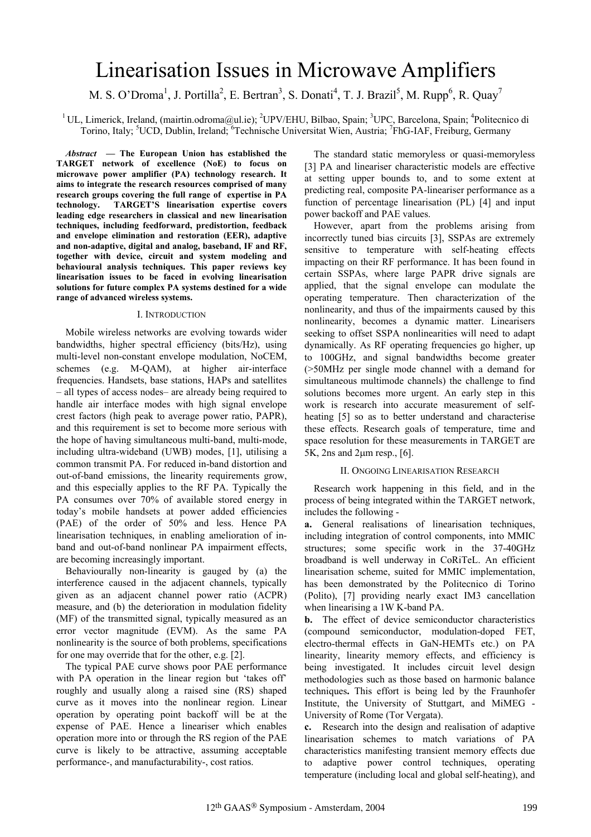# Linearisation Issues in Microwave Amplifiers

M. S. O'Droma<sup>1</sup>, J. Portilla<sup>2</sup>, E. Bertran<sup>3</sup>, S. Donati<sup>4</sup>, T. J. Brazil<sup>5</sup>, M. Rupp<sup>6</sup>, R. Quay<sup>7</sup>

<sup>1</sup>UL, Limerick, Ireland, (mairtin.odroma@ul.ie); <sup>2</sup>UPV/EHU, Bilbao, Spain; <sup>3</sup>UPC, Barcelona, Spain; <sup>4</sup>Politecnico di Torino, Italy; <sup>5</sup>UCD, Dublin, Ireland; <sup>6</sup>Technische Universitat Wien, Austria; <sup>7</sup>FhG-IAF, Freiburg, Germany

*Abstract* **— The European Union has established the TARGET network of excellence (NoE) to focus on microwave power amplifier (PA) technology research. It aims to integrate the research resources comprised of many research groups covering the full range of expertise in PA technology. TARGET'S linearisation expertise covers leading edge researchers in classical and new linearisation techniques, including feedforward, predistortion, feedback and envelope elimination and restoration (EER), adaptive and non-adaptive, digital and analog, baseband, IF and RF, together with device, circuit and system modeling and behavioural analysis techniques. This paper reviews key linearisation issues to be faced in evolving linearisation solutions for future complex PA systems destined for a wide range of advanced wireless systems.** 

## I. INTRODUCTION

Mobile wireless networks are evolving towards wider bandwidths, higher spectral efficiency (bits/Hz), using multi-level non-constant envelope modulation, NoCEM, schemes (e.g. M-QAM), at higher air-interface frequencies. Handsets, base stations, HAPs and satellites – all types of access nodes– are already being required to handle air interface modes with high signal envelope crest factors (high peak to average power ratio, PAPR), and this requirement is set to become more serious with the hope of having simultaneous multi-band, multi-mode, including ultra-wideband (UWB) modes, [1], utilising a common transmit PA. For reduced in-band distortion and out-of-band emissions, the linearity requirements grow, and this especially applies to the RF PA. Typically the PA consumes over 70% of available stored energy in today's mobile handsets at power added efficiencies (PAE) of the order of 50% and less. Hence PA linearisation techniques, in enabling amelioration of inband and out-of-band nonlinear PA impairment effects, are becoming increasingly important.

Behaviourally non-linearity is gauged by (a) the interference caused in the adjacent channels, typically given as an adjacent channel power ratio (ACPR) measure, and (b) the deterioration in modulation fidelity (MF) of the transmitted signal, typically measured as an error vector magnitude (EVM). As the same PA nonlinearity is the source of both problems, specifications for one may override that for the other, e.g. [2].

The typical PAE curve shows poor PAE performance with PA operation in the linear region but 'takes off' roughly and usually along a raised sine (RS) shaped curve as it moves into the nonlinear region. Linear operation by operating point backoff will be at the expense of PAE. Hence a lineariser which enables operation more into or through the RS region of the PAE curve is likely to be attractive, assuming acceptable performance-, and manufacturability-, cost ratios.

The standard static memoryless or quasi-memoryless [3] PA and lineariser characteristic models are effective at setting upper bounds to, and to some extent at predicting real, composite PA-lineariser performance as a function of percentage linearisation (PL) [4] and input power backoff and PAE values.

However, apart from the problems arising from incorrectly tuned bias circuits [3], SSPAs are extremely sensitive to temperature with self-heating effects impacting on their RF performance. It has been found in certain SSPAs, where large PAPR drive signals are applied, that the signal envelope can modulate the operating temperature. Then characterization of the nonlinearity, and thus of the impairments caused by this nonlinearity, becomes a dynamic matter. Linearisers seeking to offset SSPA nonlinearities will need to adapt dynamically. As RF operating frequencies go higher, up to 100GHz, and signal bandwidths become greater (>50MHz per single mode channel with a demand for simultaneous multimode channels) the challenge to find solutions becomes more urgent. An early step in this work is research into accurate measurement of selfheating [5] so as to better understand and characterise these effects. Research goals of temperature, time and space resolution for these measurements in TARGET are  $5K$ , 2ns and 2 $\mu$ m resp., [6].

# II. ONGOING LINEARISATION RESEARCH

Research work happening in this field, and in the process of being integrated within the TARGET network, includes the following -

**a.** General realisations of linearisation techniques, including integration of control components, into MMIC structures; some specific work in the 37-40GHz broadband is well underway in CoRiTeL. An efficient linearisation scheme, suited for MMIC implementation, has been demonstrated by the Politecnico di Torino (Polito), [7] providing nearly exact IM3 cancellation when linearising a 1W K-band PA.

**b.** The effect of device semiconductor characteristics (compound semiconductor, modulation-doped FET, electro-thermal effects in GaN-HEMTs etc.) on PA linearity, linearity memory effects, and efficiency is being investigated. It includes circuit level design methodologies such as those based on harmonic balance techniques**.** This effort is being led by the Fraunhofer Institute, the University of Stuttgart, and MiMEG - University of Rome (Tor Vergata).

**c.** Research into the design and realisation of adaptive linearisation schemes to match variations of PA characteristics manifesting transient memory effects due to adaptive power control techniques, operating temperature (including local and global self-heating), and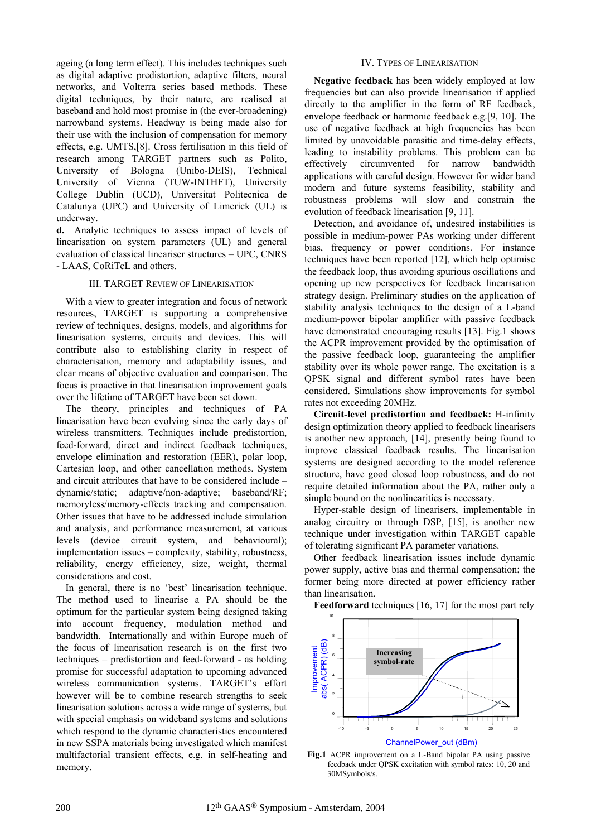ageing (a long term effect). This includes techniques such as digital adaptive predistortion, adaptive filters, neural networks, and Volterra series based methods. These digital techniques, by their nature, are realised at baseband and hold most promise in (the ever-broadening) narrowband systems. Headway is being made also for their use with the inclusion of compensation for memory effects, e.g. UMTS,[8]. Cross fertilisation in this field of research among TARGET partners such as Polito, University of Bologna (Unibo-DEIS), Technical University of Vienna (TUW-INTHFT), University College Dublin (UCD), Universitat Politecnica de Catalunya (UPC) and University of Limerick (UL) is underway.

**d.** Analytic techniques to assess impact of levels of linearisation on system parameters (UL) and general evaluation of classical lineariser structures – UPC, CNRS - LAAS, CoRiTeL and others.

# III. TARGET REVIEW OF LINEARISATION

With a view to greater integration and focus of network resources, TARGET is supporting a comprehensive review of techniques, designs, models, and algorithms for linearisation systems, circuits and devices. This will contribute also to establishing clarity in respect of characterisation, memory and adaptability issues, and clear means of objective evaluation and comparison. The focus is proactive in that linearisation improvement goals over the lifetime of TARGET have been set down.

The theory, principles and techniques of PA linearisation have been evolving since the early days of wireless transmitters. Techniques include predistortion, feed-forward, direct and indirect feedback techniques, envelope elimination and restoration (EER), polar loop, Cartesian loop, and other cancellation methods. System and circuit attributes that have to be considered include – dynamic/static; adaptive/non-adaptive; baseband/RF; memoryless/memory-effects tracking and compensation. Other issues that have to be addressed include simulation and analysis, and performance measurement, at various levels (device circuit system, and behavioural); implementation issues – complexity, stability, robustness, reliability, energy efficiency, size, weight, thermal considerations and cost.

In general, there is no 'best' linearisation technique. The method used to linearise a PA should be the optimum for the particular system being designed taking into account frequency, modulation method and bandwidth. Internationally and within Europe much of the focus of linearisation research is on the first two techniques – predistortion and feed-forward - as holding promise for successful adaptation to upcoming advanced wireless communication systems. TARGET's effort however will be to combine research strengths to seek linearisation solutions across a wide range of systems, but with special emphasis on wideband systems and solutions which respond to the dynamic characteristics encountered in new SSPA materials being investigated which manifest multifactorial transient effects, e.g. in self-heating and memory.

## IV. TYPES OF LINEARISATION

**Negative feedback** has been widely employed at low frequencies but can also provide linearisation if applied directly to the amplifier in the form of RF feedback, envelope feedback or harmonic feedback e.g.[9, 10]. The use of negative feedback at high frequencies has been limited by unavoidable parasitic and time-delay effects, leading to instability problems. This problem can be effectively circumvented for narrow bandwidth applications with careful design. However for wider band modern and future systems feasibility, stability and robustness problems will slow and constrain the evolution of feedback linearisation [9, 11].

Detection, and avoidance of, undesired instabilities is possible in medium-power PAs working under different bias, frequency or power conditions. For instance techniques have been reported [12], which help optimise the feedback loop, thus avoiding spurious oscillations and opening up new perspectives for feedback linearisation strategy design. Preliminary studies on the application of stability analysis techniques to the design of a L-band medium-power bipolar amplifier with passive feedback have demonstrated encouraging results [13]. Fig.1 shows the ACPR improvement provided by the optimisation of the passive feedback loop, guaranteeing the amplifier stability over its whole power range. The excitation is a QPSK signal and different symbol rates have been considered. Simulations show improvements for symbol rates not exceeding 20MHz.

**Circuit-level predistortion and feedback:** H-infinity design optimization theory applied to feedback linearisers is another new approach, [14], presently being found to improve classical feedback results. The linearisation systems are designed according to the model reference structure, have good closed loop robustness, and do not require detailed information about the PA, rather only a simple bound on the nonlinearities is necessary.

Hyper-stable design of linearisers, implementable in analog circuitry or through DSP, [15], is another new technique under investigation within TARGET capable of tolerating significant PA parameter variations.

Other feedback linearisation issues include dynamic power supply, active bias and thermal compensation; the former being more directed at power efficiency rather than linearisation.

Feedforward techniques [16, 17] for the most part rely



**Fig.1** ACPR improvement on a L-Band bipolar PA using passive feedback under QPSK excitation with symbol rates: 10, 20 and 30MSymbols/s.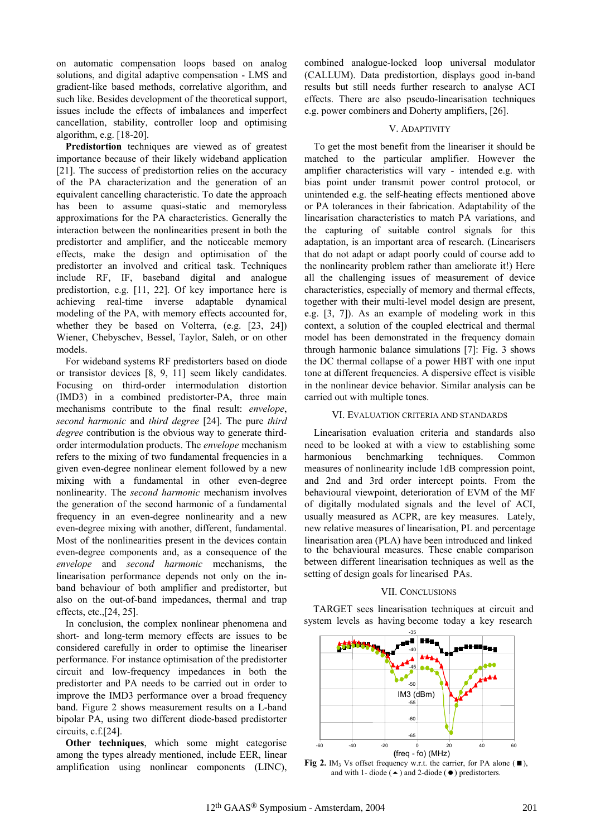on automatic compensation loops based on analog solutions, and digital adaptive compensation - LMS and gradient-like based methods, correlative algorithm, and such like. Besides development of the theoretical support, issues include the effects of imbalances and imperfect cancellation, stability, controller loop and optimising algorithm, e.g. [18-20].

**Predistortion** techniques are viewed as of greatest importance because of their likely wideband application [21]. The success of predistortion relies on the accuracy of the PA characterization and the generation of an equivalent cancelling characteristic. To date the approach has been to assume quasi-static and memoryless approximations for the PA characteristics. Generally the interaction between the nonlinearities present in both the predistorter and amplifier, and the noticeable memory effects, make the design and optimisation of the predistorter an involved and critical task. Techniques include RF, IF, baseband digital and analogue predistortion, e.g. [11, 22]. Of key importance here is achieving real-time inverse adaptable dynamical modeling of the PA, with memory effects accounted for, whether they be based on Volterra, (e.g. [23, 24]) Wiener, Chebyschev, Bessel, Taylor, Saleh, or on other models.

For wideband systems RF predistorters based on diode or transistor devices [8, 9, 11] seem likely candidates. Focusing on third-order intermodulation distortion (IMD3) in a combined predistorter-PA, three main mechanisms contribute to the final result: *envelope*, *second harmonic* and *third degree* [24]. The pure *third degree* contribution is the obvious way to generate thirdorder intermodulation products. The *envelope* mechanism refers to the mixing of two fundamental frequencies in a given even-degree nonlinear element followed by a new mixing with a fundamental in other even-degree nonlinearity. The *second harmonic* mechanism involves the generation of the second harmonic of a fundamental frequency in an even-degree nonlinearity and a new even-degree mixing with another, different, fundamental. Most of the nonlinearities present in the devices contain even-degree components and, as a consequence of the *envelope* and *second harmonic* mechanisms, the linearisation performance depends not only on the inband behaviour of both amplifier and predistorter, but also on the out-of-band impedances, thermal and trap effects, etc.,[24, 25].

In conclusion, the complex nonlinear phenomena and short- and long-term memory effects are issues to be considered carefully in order to optimise the lineariser performance. For instance optimisation of the predistorter circuit and low-frequency impedances in both the predistorter and PA needs to be carried out in order to improve the IMD3 performance over a broad frequency band. Figure 2 shows measurement results on a L-band bipolar PA, using two different diode-based predistorter circuits, c.f.[24].

**Other techniques**, which some might categorise among the types already mentioned, include EER, linear amplification using nonlinear components (LINC), combined analogue-locked loop universal modulator (CALLUM). Data predistortion, displays good in-band results but still needs further research to analyse ACI effects. There are also pseudo-linearisation techniques e.g. power combiners and Doherty amplifiers, [26].

# V. ADAPTIVITY

To get the most benefit from the lineariser it should be matched to the particular amplifier. However the amplifier characteristics will vary - intended e.g. with bias point under transmit power control protocol, or unintended e.g. the self-heating effects mentioned above or PA tolerances in their fabrication. Adaptability of the linearisation characteristics to match PA variations, and the capturing of suitable control signals for this adaptation, is an important area of research. (Linearisers that do not adapt or adapt poorly could of course add to the nonlinearity problem rather than ameliorate it!) Here all the challenging issues of measurement of device characteristics, especially of memory and thermal effects, together with their multi-level model design are present, e.g. [3, 7]). As an example of modeling work in this context, a solution of the coupled electrical and thermal model has been demonstrated in the frequency domain through harmonic balance simulations [7]: Fig. 3 shows the DC thermal collapse of a power HBT with one input tone at different frequencies. A dispersive effect is visible in the nonlinear device behavior. Similar analysis can be carried out with multiple tones.

## VI. EVALUATION CRITERIA AND STANDARDS

Linearisation evaluation criteria and standards also need to be looked at with a view to establishing some harmonious benchmarking techniques. Common measures of nonlinearity include 1dB compression point, and 2nd and 3rd order intercept points. From the behavioural viewpoint, deterioration of EVM of the MF of digitally modulated signals and the level of ACI, usually measured as ACPR, are key measures. Lately, new relative measures of linearisation, PL and percentage linearisation area (PLA) have been introduced and linked to the behavioural measures. These enable comparison between different linearisation techniques as well as the setting of design goals for linearised PAs.

## VII. CONCLUSIONS

TARGET sees linearisation techniques at circuit and system levels as having become today a key research



**Fig 2.** IM<sub>3</sub> Vs offset frequency w.r.t. the carrier, for PA alone  $(\blacksquare)$ , and with 1- diode ( $\triangle$ ) and 2-diode ( $\bullet$ ) predistorters.